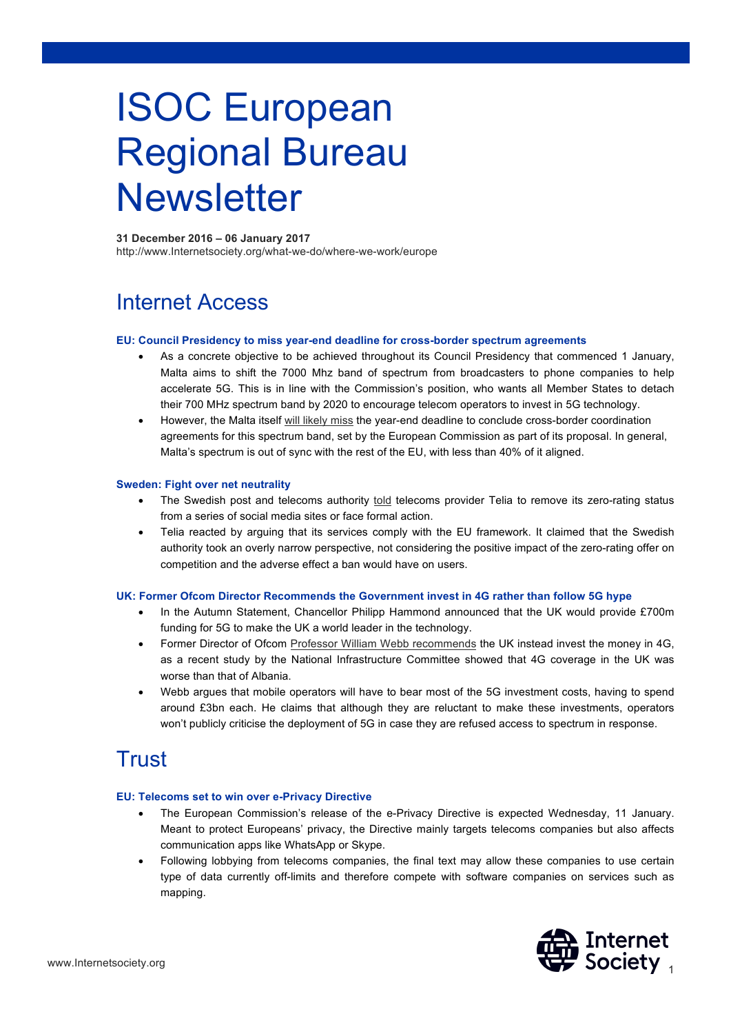# ISOC European Regional Bureau **Newsletter**

**31 December 2016 – 06 January 2017**  http://www.Internetsociety.org/what-we-do/where-we-work/europe

# Internet Access

#### **EU: Council Presidency to miss year-end deadline for cross-border spectrum agreements**

- As a concrete objective to be achieved throughout its Council Presidency that commenced 1 January, Malta aims to shift the 7000 Mhz band of spectrum from broadcasters to phone companies to help accelerate 5G. This is in line with the Commission's position, who wants all Member States to detach their 700 MHz spectrum band by 2020 to encourage telecom operators to invest in 5G technology.
- However, the Malta itself will likely miss the year-end deadline to conclude cross-border coordination agreements for this spectrum band, set by the European Commission as part of its proposal. In general, Malta's spectrum is out of sync with the rest of the EU, with less than 40% of it aligned.

#### **Sweden: Fight over net neutrality**

- The Swedish post and telecoms authority told telecoms provider Telia to remove its zero-rating status from a series of social media sites or face formal action.
- Telia reacted by arguing that its services comply with the EU framework. It claimed that the Swedish authority took an overly narrow perspective, not considering the positive impact of the zero-rating offer on competition and the adverse effect a ban would have on users.

#### **UK: Former Ofcom Director Recommends the Government invest in 4G rather than follow 5G hype**

- In the Autumn Statement, Chancellor Philipp Hammond announced that the UK would provide £700m funding for 5G to make the UK a world leader in the technology.
- Former Director of Ofcom Professor William Webb recommends the UK instead invest the money in 4G, as a recent study by the National Infrastructure Committee showed that 4G coverage in the UK was worse than that of Albania.
- Webb argues that mobile operators will have to bear most of the 5G investment costs, having to spend around £3bn each. He claims that although they are reluctant to make these investments, operators won't publicly criticise the deployment of 5G in case they are refused access to spectrum in response.

## Trust

#### **EU: Telecoms set to win over e-Privacy Directive**

- The European Commission's release of the e-Privacy Directive is expected Wednesday, 11 January. Meant to protect Europeans' privacy, the Directive mainly targets telecoms companies but also affects communication apps like WhatsApp or Skype.
- Following lobbying from telecoms companies, the final text may allow these companies to use certain type of data currently off-limits and therefore compete with software companies on services such as mapping.